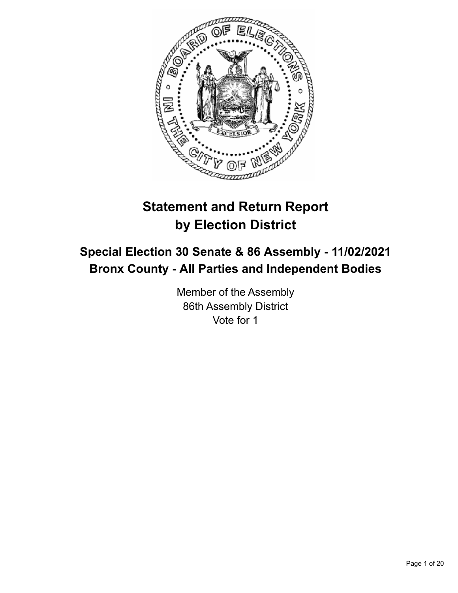

# **Statement and Return Report by Election District**

## **Special Election 30 Senate & 86 Assembly - 11/02/2021 Bronx County - All Parties and Independent Bodies**

Member of the Assembly 86th Assembly District Vote for 1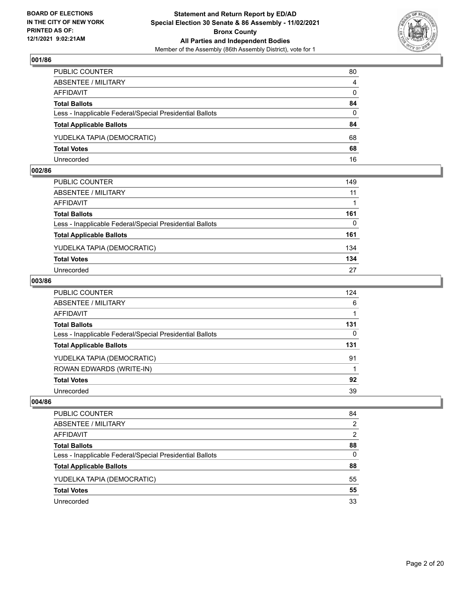

| PUBLIC COUNTER                                           | 80             |
|----------------------------------------------------------|----------------|
| ABSENTEE / MILITARY                                      | $\overline{4}$ |
| AFFIDAVIT                                                | $\mathbf{0}$   |
| <b>Total Ballots</b>                                     | 84             |
| Less - Inapplicable Federal/Special Presidential Ballots | $\Omega$       |
| <b>Total Applicable Ballots</b>                          | 84             |
| YUDELKA TAPIA (DEMOCRATIC)                               | 68             |
| <b>Total Votes</b>                                       | 68             |
| Unrecorded                                               | 16             |

#### **002/86**

| PUBLIC COUNTER                                           | 149      |
|----------------------------------------------------------|----------|
| ABSENTEE / MILITARY                                      | 11       |
| AFFIDAVIT                                                |          |
| <b>Total Ballots</b>                                     | 161      |
| Less - Inapplicable Federal/Special Presidential Ballots | $\Omega$ |
| <b>Total Applicable Ballots</b>                          | 161      |
| YUDELKA TAPIA (DEMOCRATIC)                               | 134      |
| <b>Total Votes</b>                                       | 134      |
| Unrecorded                                               | 27       |
|                                                          |          |

## **003/86**

| PUBLIC COUNTER                                           | 124 |
|----------------------------------------------------------|-----|
| ABSENTEE / MILITARY                                      | 6   |
| AFFIDAVIT                                                |     |
| Total Ballots                                            | 131 |
| Less - Inapplicable Federal/Special Presidential Ballots | 0   |
| <b>Total Applicable Ballots</b>                          | 131 |
| YUDELKA TAPIA (DEMOCRATIC)                               | 91  |
| ROWAN EDWARDS (WRITE-IN)                                 |     |
| <b>Total Votes</b>                                       | 92  |
| Unrecorded                                               | 39  |

| <b>PUBLIC COUNTER</b>                                    | 84            |
|----------------------------------------------------------|---------------|
| ABSENTEE / MILITARY                                      | $\mathcal{P}$ |
| AFFIDAVIT                                                | 2             |
| <b>Total Ballots</b>                                     | 88            |
| Less - Inapplicable Federal/Special Presidential Ballots | 0             |
| <b>Total Applicable Ballots</b>                          | 88            |
| YUDELKA TAPIA (DEMOCRATIC)                               | 55            |
| <b>Total Votes</b>                                       | 55            |
| Unrecorded                                               | 33            |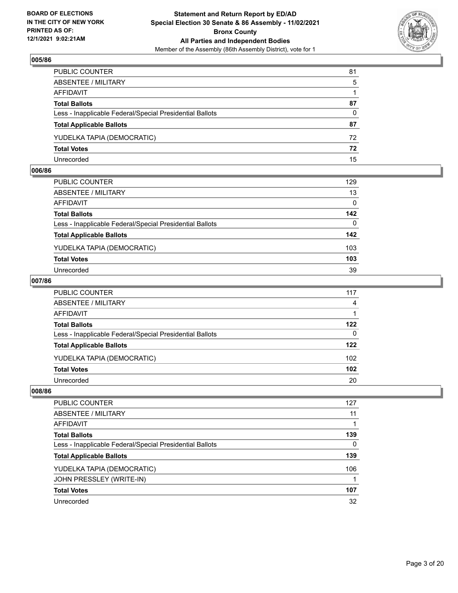

| PUBLIC COUNTER                                           | 81       |
|----------------------------------------------------------|----------|
| ABSENTEE / MILITARY                                      | -5       |
| AFFIDAVIT                                                |          |
| <b>Total Ballots</b>                                     | 87       |
| Less - Inapplicable Federal/Special Presidential Ballots | $\Omega$ |
| <b>Total Applicable Ballots</b>                          | 87       |
| YUDELKA TAPIA (DEMOCRATIC)                               | 72       |
| <b>Total Votes</b>                                       | 72       |
| Unrecorded                                               | 15       |

#### **006/86**

| PUBLIC COUNTER                                           | 129          |
|----------------------------------------------------------|--------------|
| ABSENTEE / MILITARY                                      | 13           |
| AFFIDAVIT                                                | $\mathbf{0}$ |
| <b>Total Ballots</b>                                     | 142          |
| Less - Inapplicable Federal/Special Presidential Ballots | $\Omega$     |
| <b>Total Applicable Ballots</b>                          | 142          |
| YUDELKA TAPIA (DEMOCRATIC)                               | 103          |
| <b>Total Votes</b>                                       | 103          |
| Unrecorded                                               | 39           |
|                                                          |              |

## **007/86**

| PUBLIC COUNTER                                           | 117              |
|----------------------------------------------------------|------------------|
| ABSENTEE / MILITARY                                      | $\overline{4}$   |
| AFFIDAVIT                                                |                  |
| <b>Total Ballots</b>                                     | 122              |
| Less - Inapplicable Federal/Special Presidential Ballots | $\Omega$         |
| <b>Total Applicable Ballots</b>                          | 122              |
| YUDELKA TAPIA (DEMOCRATIC)                               | 102              |
| <b>Total Votes</b>                                       | 102 <sub>2</sub> |
| Unrecorded                                               | 20               |

| <b>PUBLIC COUNTER</b>                                    | 127      |
|----------------------------------------------------------|----------|
| ABSENTEE / MILITARY                                      | 11       |
| AFFIDAVIT                                                |          |
| <b>Total Ballots</b>                                     | 139      |
| Less - Inapplicable Federal/Special Presidential Ballots | $\Omega$ |
| <b>Total Applicable Ballots</b>                          | 139      |
| YUDELKA TAPIA (DEMOCRATIC)                               | 106      |
| JOHN PRESSLEY (WRITE-IN)                                 |          |
| <b>Total Votes</b>                                       | 107      |
| Unrecorded                                               | 32       |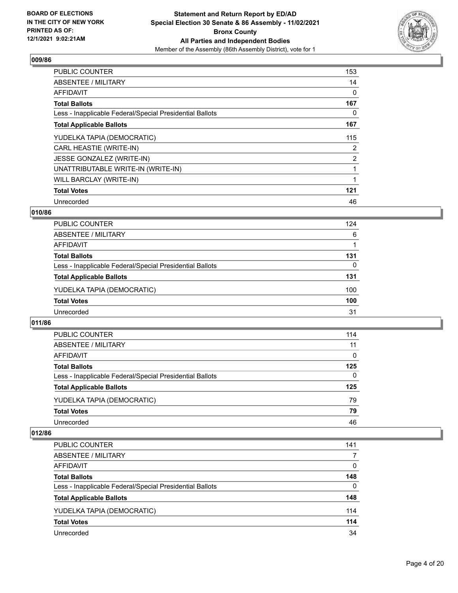

| <b>PUBLIC COUNTER</b>                                    | 153            |
|----------------------------------------------------------|----------------|
| ABSENTEE / MILITARY                                      | 14             |
| <b>AFFIDAVIT</b>                                         | 0              |
| <b>Total Ballots</b>                                     | 167            |
| Less - Inapplicable Federal/Special Presidential Ballots | 0              |
| <b>Total Applicable Ballots</b>                          | 167            |
| YUDELKA TAPIA (DEMOCRATIC)                               | 115            |
| CARL HEASTIE (WRITE-IN)                                  | $\overline{2}$ |
| JESSE GONZALEZ (WRITE-IN)                                | $\overline{2}$ |
| UNATTRIBUTABLE WRITE-IN (WRITE-IN)                       |                |
| WILL BARCLAY (WRITE-IN)                                  |                |
| <b>Total Votes</b>                                       | 121            |
| Unrecorded                                               | 46             |

## **010/86**

| PUBLIC COUNTER                                           | 124 |
|----------------------------------------------------------|-----|
| ABSENTEE / MILITARY                                      | 6   |
| AFFIDAVIT                                                |     |
| <b>Total Ballots</b>                                     | 131 |
| Less - Inapplicable Federal/Special Presidential Ballots | 0   |
| <b>Total Applicable Ballots</b>                          | 131 |
| YUDELKA TAPIA (DEMOCRATIC)                               | 100 |
| <b>Total Votes</b>                                       | 100 |
| Unrecorded                                               | 31  |

#### **011/86**

| PUBLIC COUNTER                                           | 114      |
|----------------------------------------------------------|----------|
| ABSENTEE / MILITARY                                      | 11       |
| <b>AFFIDAVIT</b>                                         | $\Omega$ |
| <b>Total Ballots</b>                                     | 125      |
| Less - Inapplicable Federal/Special Presidential Ballots | $\Omega$ |
| <b>Total Applicable Ballots</b>                          | 125      |
| YUDELKA TAPIA (DEMOCRATIC)                               | 79       |
| <b>Total Votes</b>                                       | 79       |
| Unrecorded                                               | 46       |

| PUBLIC COUNTER                                           | 141      |
|----------------------------------------------------------|----------|
| ABSENTEE / MILITARY                                      | 7        |
| AFFIDAVIT                                                | $\Omega$ |
| <b>Total Ballots</b>                                     | 148      |
| Less - Inapplicable Federal/Special Presidential Ballots | $\Omega$ |
| <b>Total Applicable Ballots</b>                          | 148      |
| YUDELKA TAPIA (DEMOCRATIC)                               | 114      |
| <b>Total Votes</b>                                       | 114      |
| Unrecorded                                               | 34       |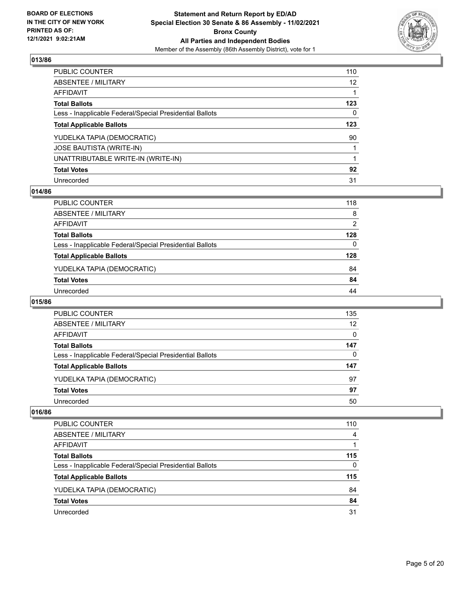

| PUBLIC COUNTER                                           | 110             |
|----------------------------------------------------------|-----------------|
| ABSENTEE / MILITARY                                      | 12 <sup>2</sup> |
| AFFIDAVIT                                                | 1               |
| Total Ballots                                            | 123             |
| Less - Inapplicable Federal/Special Presidential Ballots | 0               |
| <b>Total Applicable Ballots</b>                          | 123             |
| YUDELKA TAPIA (DEMOCRATIC)                               | 90              |
| JOSE BAUTISTA (WRITE-IN)                                 |                 |
| UNATTRIBUTABLE WRITE-IN (WRITE-IN)                       | 1               |
| <b>Total Votes</b>                                       | 92              |
| Unrecorded                                               | 31              |

#### **014/86**

| PUBLIC COUNTER                                           | 118      |
|----------------------------------------------------------|----------|
| ABSENTEE / MILITARY                                      | 8        |
| <b>AFFIDAVIT</b>                                         | 2        |
| <b>Total Ballots</b>                                     | 128      |
| Less - Inapplicable Federal/Special Presidential Ballots | $\Omega$ |
| <b>Total Applicable Ballots</b>                          | 128      |
| YUDELKA TAPIA (DEMOCRATIC)                               | 84       |
| <b>Total Votes</b>                                       | 84       |
| Unrecorded                                               | 44       |

#### **015/86**

| PUBLIC COUNTER                                           | 135      |
|----------------------------------------------------------|----------|
| ABSENTEE / MILITARY                                      | 12       |
| AFFIDAVIT                                                | $\Omega$ |
| <b>Total Ballots</b>                                     | 147      |
| Less - Inapplicable Federal/Special Presidential Ballots | 0        |
| <b>Total Applicable Ballots</b>                          | 147      |
| YUDELKA TAPIA (DEMOCRATIC)                               | 97       |
| <b>Total Votes</b>                                       | 97       |
| Unrecorded                                               | 50       |
|                                                          |          |

| PUBLIC COUNTER                                           | 110      |
|----------------------------------------------------------|----------|
| ABSENTEE / MILITARY                                      | 4        |
| AFFIDAVIT                                                |          |
| <b>Total Ballots</b>                                     | 115      |
| Less - Inapplicable Federal/Special Presidential Ballots | $\Omega$ |
| <b>Total Applicable Ballots</b>                          | 115      |
| YUDELKA TAPIA (DEMOCRATIC)                               | 84       |
| <b>Total Votes</b>                                       | 84       |
| Unrecorded                                               | 31       |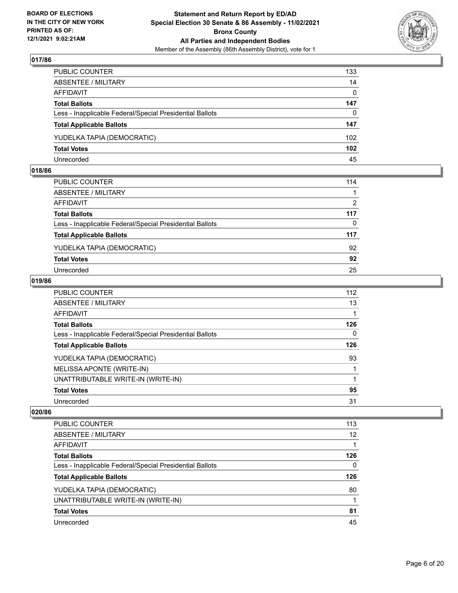

| PUBLIC COUNTER                                           | 133      |
|----------------------------------------------------------|----------|
| ABSENTEE / MILITARY                                      | 14       |
| AFFIDAVIT                                                | $\Omega$ |
| <b>Total Ballots</b>                                     | 147      |
| Less - Inapplicable Federal/Special Presidential Ballots | $\Omega$ |
| <b>Total Applicable Ballots</b>                          | 147      |
| YUDELKA TAPIA (DEMOCRATIC)                               | 102      |
| <b>Total Votes</b>                                       | 102      |
| Unrecorded                                               | 45       |

#### **018/86**

| PUBLIC COUNTER                                           | 114      |
|----------------------------------------------------------|----------|
| ABSENTEE / MILITARY                                      |          |
| AFFIDAVIT                                                | 2        |
| <b>Total Ballots</b>                                     | 117      |
| Less - Inapplicable Federal/Special Presidential Ballots | $\Omega$ |
| <b>Total Applicable Ballots</b>                          | 117      |
| YUDELKA TAPIA (DEMOCRATIC)                               | 92       |
| <b>Total Votes</b>                                       | 92       |
| Unrecorded                                               | 25       |
|                                                          |          |

## **019/86**

| PUBLIC COUNTER                                           | 112          |
|----------------------------------------------------------|--------------|
| ABSENTEE / MILITARY                                      | 13           |
| AFFIDAVIT                                                |              |
| Total Ballots                                            | 126          |
| Less - Inapplicable Federal/Special Presidential Ballots | $\mathbf{0}$ |
| <b>Total Applicable Ballots</b>                          | 126          |
| YUDELKA TAPIA (DEMOCRATIC)                               | 93           |
| MELISSA APONTE (WRITE-IN)                                |              |
| UNATTRIBUTABLE WRITE-IN (WRITE-IN)                       |              |
| <b>Total Votes</b>                                       | 95           |
| Unrecorded                                               | 31           |
|                                                          |              |

| PUBLIC COUNTER                                           | 113 |
|----------------------------------------------------------|-----|
| ABSENTEE / MILITARY                                      | 12  |
| AFFIDAVIT                                                |     |
| <b>Total Ballots</b>                                     | 126 |
| Less - Inapplicable Federal/Special Presidential Ballots | 0   |
| <b>Total Applicable Ballots</b>                          | 126 |
| YUDELKA TAPIA (DEMOCRATIC)                               | 80  |
| UNATTRIBUTABLE WRITE-IN (WRITE-IN)                       |     |
| <b>Total Votes</b>                                       |     |
|                                                          | 81  |
| Unrecorded                                               | 45  |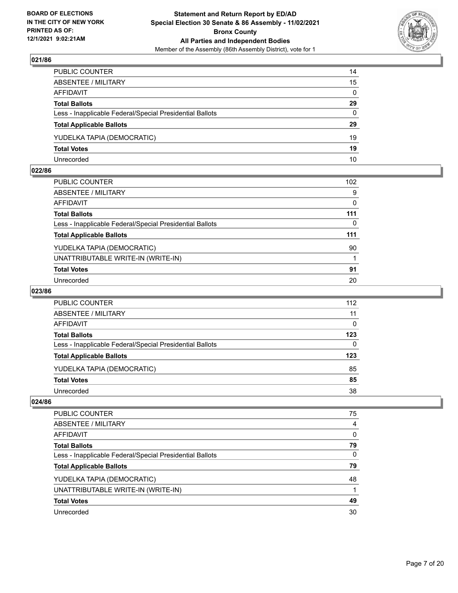

| PUBLIC COUNTER                                           | 14           |
|----------------------------------------------------------|--------------|
| ABSENTEE / MILITARY                                      | 15           |
| AFFIDAVIT                                                | $\mathbf{0}$ |
| <b>Total Ballots</b>                                     | 29           |
| Less - Inapplicable Federal/Special Presidential Ballots | $\Omega$     |
| <b>Total Applicable Ballots</b>                          | 29           |
| YUDELKA TAPIA (DEMOCRATIC)                               | 19           |
| <b>Total Votes</b>                                       | 19           |
| Unrecorded                                               | 10           |

#### **022/86**

| PUBLIC COUNTER                                           | 102 <sub>2</sub> |
|----------------------------------------------------------|------------------|
| <b>ABSENTEE / MILITARY</b>                               | 9                |
| AFFIDAVIT                                                | 0                |
| <b>Total Ballots</b>                                     | 111              |
| Less - Inapplicable Federal/Special Presidential Ballots | $\Omega$         |
| <b>Total Applicable Ballots</b>                          | 111              |
| YUDELKA TAPIA (DEMOCRATIC)                               | 90               |
| UNATTRIBUTABLE WRITE-IN (WRITE-IN)                       |                  |
| <b>Total Votes</b>                                       | 91               |
| Unrecorded                                               | 20               |
|                                                          |                  |

#### **023/86**

| <b>PUBLIC COUNTER</b>                                    | 112 |
|----------------------------------------------------------|-----|
| <b>ABSENTEE / MILITARY</b>                               | 11  |
| <b>AFFIDAVIT</b>                                         | 0   |
| <b>Total Ballots</b>                                     | 123 |
| Less - Inapplicable Federal/Special Presidential Ballots | 0   |
| <b>Total Applicable Ballots</b>                          | 123 |
| YUDELKA TAPIA (DEMOCRATIC)                               | 85  |
| <b>Total Votes</b>                                       | 85  |
| Unrecorded                                               | 38  |

| 75 |
|----|
| 4  |
| 0  |
| 79 |
| 0  |
| 79 |
| 48 |
|    |
| 49 |
| 30 |
|    |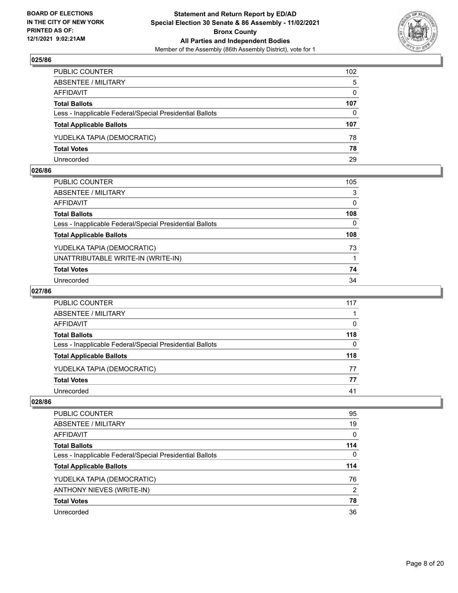

| PUBLIC COUNTER                                           | 102          |
|----------------------------------------------------------|--------------|
| ABSENTEE / MILITARY                                      | 5            |
| AFFIDAVIT                                                | $\mathbf{0}$ |
| <b>Total Ballots</b>                                     | 107          |
| Less - Inapplicable Federal/Special Presidential Ballots | $\Omega$     |
| <b>Total Applicable Ballots</b>                          | 107          |
| YUDELKA TAPIA (DEMOCRATIC)                               | 78           |
| <b>Total Votes</b>                                       | 78           |
| Unrecorded                                               | 29           |

#### **026/86**

| PUBLIC COUNTER                                           | 105 |
|----------------------------------------------------------|-----|
| ABSENTEE / MILITARY                                      | 3   |
| <b>AFFIDAVIT</b>                                         | 0   |
| <b>Total Ballots</b>                                     | 108 |
| Less - Inapplicable Federal/Special Presidential Ballots | 0   |
| <b>Total Applicable Ballots</b>                          | 108 |
| YUDELKA TAPIA (DEMOCRATIC)                               | 73  |
| UNATTRIBUTABLE WRITE-IN (WRITE-IN)                       |     |
| <b>Total Votes</b>                                       | 74  |
| Unrecorded                                               | 34  |

#### **027/86**

| PUBLIC COUNTER                                           | 117 |
|----------------------------------------------------------|-----|
| ABSENTEE / MILITARY                                      |     |
| AFFIDAVIT                                                | 0   |
| <b>Total Ballots</b>                                     | 118 |
| Less - Inapplicable Federal/Special Presidential Ballots | 0   |
| <b>Total Applicable Ballots</b>                          | 118 |
| YUDELKA TAPIA (DEMOCRATIC)                               | 77  |
| <b>Total Votes</b>                                       | 77  |
| Unrecorded                                               | 41  |

| <b>PUBLIC COUNTER</b>                                    | 95  |
|----------------------------------------------------------|-----|
| ABSENTEE / MILITARY                                      | 19  |
| AFFIDAVIT                                                | 0   |
| <b>Total Ballots</b>                                     | 114 |
| Less - Inapplicable Federal/Special Presidential Ballots | 0   |
| <b>Total Applicable Ballots</b>                          | 114 |
| YUDELKA TAPIA (DEMOCRATIC)                               | 76  |
| ANTHONY NIEVES (WRITE-IN)                                | 2   |
| <b>Total Votes</b>                                       | 78  |
| Unrecorded                                               | 36  |
|                                                          |     |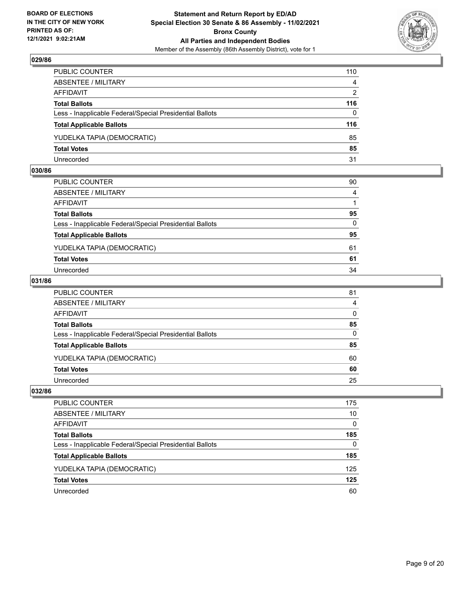

| PUBLIC COUNTER                                           | 110      |
|----------------------------------------------------------|----------|
| ABSENTEE / MILITARY                                      | 4        |
| AFFIDAVIT                                                | 2        |
| <b>Total Ballots</b>                                     | 116      |
| Less - Inapplicable Federal/Special Presidential Ballots | $\Omega$ |
| <b>Total Applicable Ballots</b>                          | 116      |
| YUDELKA TAPIA (DEMOCRATIC)                               | 85       |
| <b>Total Votes</b>                                       | 85       |
| Unrecorded                                               | 31       |

#### **030/86**

| PUBLIC COUNTER                                           | 90           |
|----------------------------------------------------------|--------------|
| ABSENTEE / MILITARY                                      | 4            |
| AFFIDAVIT                                                |              |
| <b>Total Ballots</b>                                     | 95           |
| Less - Inapplicable Federal/Special Presidential Ballots | $\mathbf{0}$ |
| <b>Total Applicable Ballots</b>                          | 95           |
| YUDELKA TAPIA (DEMOCRATIC)                               | 61           |
| <b>Total Votes</b>                                       | 61           |
|                                                          |              |
| Unrecorded                                               | 34           |

## **031/86**

| PUBLIC COUNTER                                           | 81           |
|----------------------------------------------------------|--------------|
| ABSENTEE / MILITARY                                      | 4            |
| AFFIDAVIT                                                | $\mathbf{0}$ |
| <b>Total Ballots</b>                                     | 85           |
| Less - Inapplicable Federal/Special Presidential Ballots | $\Omega$     |
| <b>Total Applicable Ballots</b>                          | 85           |
| YUDELKA TAPIA (DEMOCRATIC)                               | 60           |
| <b>Total Votes</b>                                       | 60           |
| Unrecorded                                               | 25           |
|                                                          |              |

| PUBLIC COUNTER                                           | 175      |
|----------------------------------------------------------|----------|
| ABSENTEE / MILITARY                                      | 10       |
| AFFIDAVIT                                                | $\Omega$ |
| <b>Total Ballots</b>                                     | 185      |
| Less - Inapplicable Federal/Special Presidential Ballots | 0        |
| <b>Total Applicable Ballots</b>                          | 185      |
| YUDELKA TAPIA (DEMOCRATIC)                               | 125      |
| <b>Total Votes</b>                                       | 125      |
| Unrecorded                                               | 60       |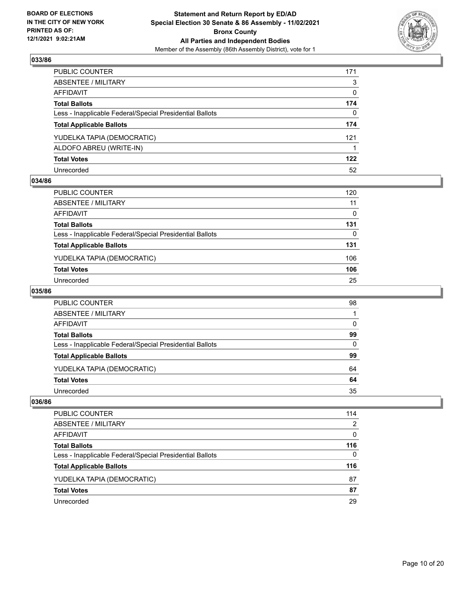

| PUBLIC COUNTER                                           | 171 |
|----------------------------------------------------------|-----|
| ABSENTEE / MILITARY                                      | 3   |
| AFFIDAVIT                                                | 0   |
| <b>Total Ballots</b>                                     | 174 |
| Less - Inapplicable Federal/Special Presidential Ballots | 0   |
| <b>Total Applicable Ballots</b>                          | 174 |
| YUDELKA TAPIA (DEMOCRATIC)                               | 121 |
| ALDOFO ABREU (WRITE-IN)                                  |     |
| <b>Total Votes</b>                                       | 122 |
| Unrecorded                                               | 52  |

#### **034/86**

| PUBLIC COUNTER                                           | 120          |
|----------------------------------------------------------|--------------|
| <b>ABSENTEE / MILITARY</b>                               | 11           |
| <b>AFFIDAVIT</b>                                         | $\mathbf{0}$ |
| <b>Total Ballots</b>                                     | 131          |
| Less - Inapplicable Federal/Special Presidential Ballots | $\Omega$     |
| <b>Total Applicable Ballots</b>                          | 131          |
| YUDELKA TAPIA (DEMOCRATIC)                               | 106          |
| <b>Total Votes</b>                                       | 106          |
| Unrecorded                                               | 25           |

#### **035/86**

| PUBLIC COUNTER                                           | 98 |
|----------------------------------------------------------|----|
| ABSENTEE / MILITARY                                      |    |
| <b>AFFIDAVIT</b>                                         | 0  |
| <b>Total Ballots</b>                                     | 99 |
| Less - Inapplicable Federal/Special Presidential Ballots | 0  |
| <b>Total Applicable Ballots</b>                          | 99 |
| YUDELKA TAPIA (DEMOCRATIC)                               | 64 |
| <b>Total Votes</b>                                       | 64 |
| Unrecorded                                               | 35 |

| PUBLIC COUNTER                                           | 114 |
|----------------------------------------------------------|-----|
| ABSENTEE / MILITARY                                      | 2   |
| AFFIDAVIT                                                | 0   |
| <b>Total Ballots</b>                                     | 116 |
| Less - Inapplicable Federal/Special Presidential Ballots | 0   |
| <b>Total Applicable Ballots</b>                          | 116 |
| YUDELKA TAPIA (DEMOCRATIC)                               | 87  |
| <b>Total Votes</b>                                       | 87  |
| Unrecorded                                               | 29  |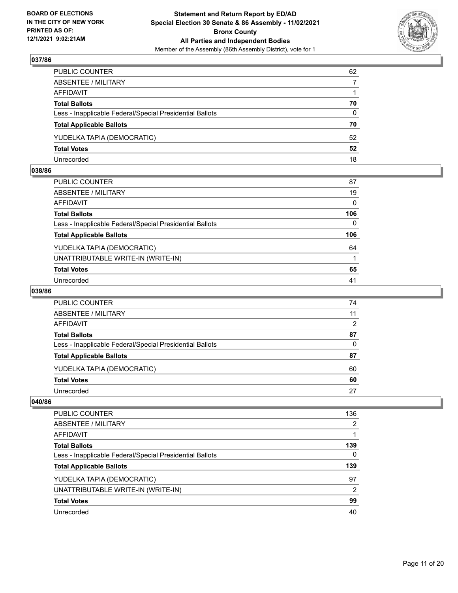

| PUBLIC COUNTER                                           | 62       |
|----------------------------------------------------------|----------|
| ABSENTEE / MILITARY                                      | 7        |
| AFFIDAVIT                                                |          |
| <b>Total Ballots</b>                                     | 70       |
| Less - Inapplicable Federal/Special Presidential Ballots | $\Omega$ |
| <b>Total Applicable Ballots</b>                          | 70       |
| YUDELKA TAPIA (DEMOCRATIC)                               | 52       |
| <b>Total Votes</b>                                       | 52       |
| Unrecorded                                               | 18       |

#### **038/86**

| PUBLIC COUNTER                                           | 87  |
|----------------------------------------------------------|-----|
| ABSENTEE / MILITARY                                      | 19  |
| AFFIDAVIT                                                | 0   |
| Total Ballots                                            | 106 |
| Less - Inapplicable Federal/Special Presidential Ballots | 0   |
| <b>Total Applicable Ballots</b>                          | 106 |
| YUDELKA TAPIA (DEMOCRATIC)                               | 64  |
| UNATTRIBUTABLE WRITE-IN (WRITE-IN)                       |     |
| <b>Total Votes</b>                                       | 65  |
| Unrecorded                                               | 41  |

#### **039/86**

| PUBLIC COUNTER                                           | 74 |
|----------------------------------------------------------|----|
| ABSENTEE / MILITARY                                      | 11 |
| AFFIDAVIT                                                | 2  |
| <b>Total Ballots</b>                                     | 87 |
| Less - Inapplicable Federal/Special Presidential Ballots | 0  |
| <b>Total Applicable Ballots</b>                          | 87 |
| YUDELKA TAPIA (DEMOCRATIC)                               | 60 |
| <b>Total Votes</b>                                       | 60 |
| Unrecorded                                               | 27 |

| 136 |
|-----|
| 2   |
|     |
| 139 |
| 0   |
| 139 |
| 97  |
| 2   |
| 99  |
| 40  |
|     |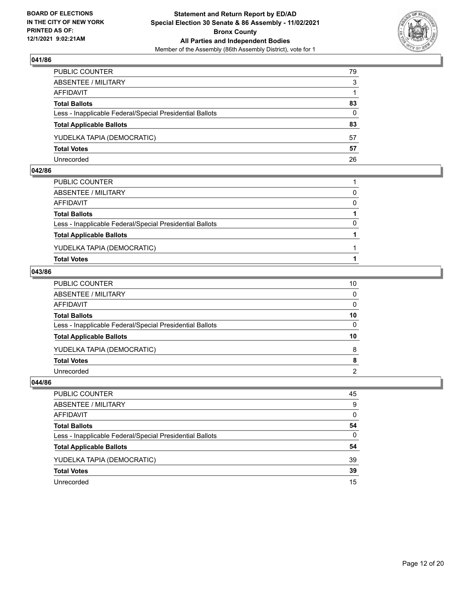

| PUBLIC COUNTER                                           | 79           |
|----------------------------------------------------------|--------------|
| ABSENTEE / MILITARY                                      | 3            |
| AFFIDAVIT                                                |              |
| <b>Total Ballots</b>                                     | 83           |
| Less - Inapplicable Federal/Special Presidential Ballots | $\mathbf{0}$ |
| <b>Total Applicable Ballots</b>                          | 83           |
| YUDELKA TAPIA (DEMOCRATIC)                               | 57           |
| <b>Total Votes</b>                                       | 57           |
| Unrecorded                                               | 26           |

#### **042/86**

| <b>Total Votes</b>                                       |              |
|----------------------------------------------------------|--------------|
| YUDELKA TAPIA (DEMOCRATIC)                               |              |
| <b>Total Applicable Ballots</b>                          |              |
| Less - Inapplicable Federal/Special Presidential Ballots | 0            |
| <b>Total Ballots</b>                                     |              |
| AFFIDAVIT                                                | $\mathbf{0}$ |
| ABSENTEE / MILITARY                                      | 0            |
| PUBLIC COUNTER                                           |              |
|                                                          |              |

## **043/86**

| PUBLIC COUNTER                                           | 10              |
|----------------------------------------------------------|-----------------|
| ABSENTEE / MILITARY                                      | $\mathbf{0}$    |
| AFFIDAVIT                                                | $\mathbf{0}$    |
| <b>Total Ballots</b>                                     | 10              |
| Less - Inapplicable Federal/Special Presidential Ballots | $\Omega$        |
| <b>Total Applicable Ballots</b>                          | 10 <sup>1</sup> |
| YUDELKA TAPIA (DEMOCRATIC)                               | 8               |
| <b>Total Votes</b>                                       | 8               |
| Unrecorded                                               | $\overline{2}$  |

| PUBLIC COUNTER                                           | 45           |
|----------------------------------------------------------|--------------|
| ABSENTEE / MILITARY                                      | 9            |
| AFFIDAVIT                                                | $\mathbf{0}$ |
| <b>Total Ballots</b>                                     | 54           |
| Less - Inapplicable Federal/Special Presidential Ballots | $\Omega$     |
| <b>Total Applicable Ballots</b>                          | 54           |
| YUDELKA TAPIA (DEMOCRATIC)                               | 39           |
| <b>Total Votes</b>                                       | 39           |
| Unrecorded                                               | 15           |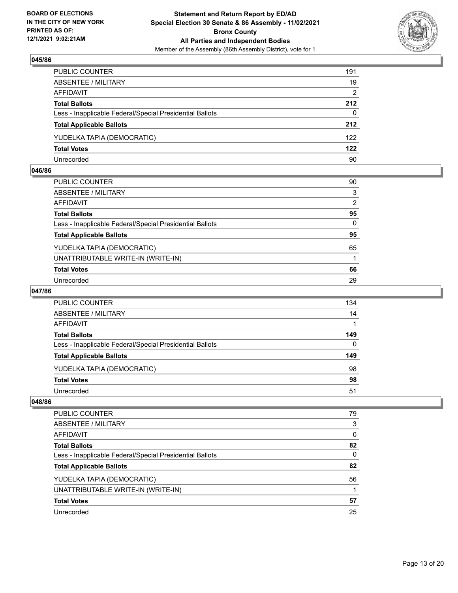

| PUBLIC COUNTER                                           | 191      |
|----------------------------------------------------------|----------|
| ABSENTEE / MILITARY                                      | 19       |
| AFFIDAVIT                                                | 2        |
| <b>Total Ballots</b>                                     | 212      |
| Less - Inapplicable Federal/Special Presidential Ballots | $\Omega$ |
| <b>Total Applicable Ballots</b>                          | 212      |
| YUDELKA TAPIA (DEMOCRATIC)                               | 122      |
| <b>Total Votes</b>                                       | 122      |
| Unrecorded                                               | 90       |

#### **046/86**

| PUBLIC COUNTER                                           | 90       |
|----------------------------------------------------------|----------|
| ABSENTEE / MILITARY                                      | 3        |
| <b>AFFIDAVIT</b>                                         | 2        |
| <b>Total Ballots</b>                                     | 95       |
| Less - Inapplicable Federal/Special Presidential Ballots | $\Omega$ |
| <b>Total Applicable Ballots</b>                          | 95       |
| YUDELKA TAPIA (DEMOCRATIC)                               | 65       |
| UNATTRIBUTABLE WRITE-IN (WRITE-IN)                       |          |
| <b>Total Votes</b>                                       | 66       |
| Unrecorded                                               | 29       |

## **047/86**

| <b>PUBLIC COUNTER</b>                                    | 134      |
|----------------------------------------------------------|----------|
| <b>ABSENTEE / MILITARY</b>                               | 14       |
| AFFIDAVIT                                                |          |
| <b>Total Ballots</b>                                     | 149      |
| Less - Inapplicable Federal/Special Presidential Ballots | $\Omega$ |
| <b>Total Applicable Ballots</b>                          | 149      |
| YUDELKA TAPIA (DEMOCRATIC)                               | 98       |
| <b>Total Votes</b>                                       | 98       |
| Unrecorded                                               | 51       |

| PUBLIC COUNTER                                           | 79 |
|----------------------------------------------------------|----|
| <b>ABSENTEE / MILITARY</b>                               | 3  |
| AFFIDAVIT                                                | 0  |
| <b>Total Ballots</b>                                     | 82 |
| Less - Inapplicable Federal/Special Presidential Ballots | 0  |
| <b>Total Applicable Ballots</b>                          | 82 |
| YUDELKA TAPIA (DEMOCRATIC)                               | 56 |
| UNATTRIBUTABLE WRITE-IN (WRITE-IN)                       |    |
| <b>Total Votes</b>                                       | 57 |
| Unrecorded                                               | 25 |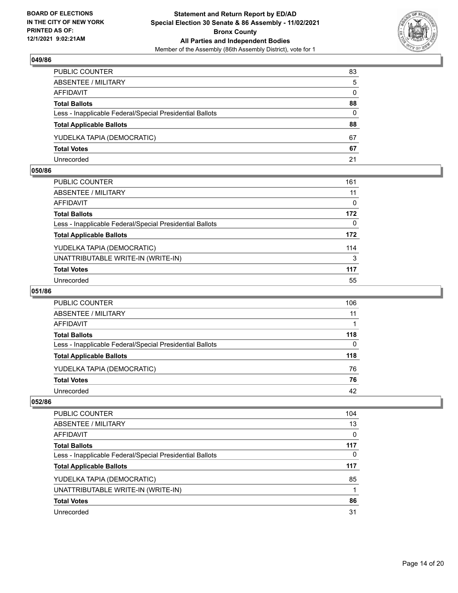

| PUBLIC COUNTER                                           | 83           |
|----------------------------------------------------------|--------------|
| ABSENTEE / MILITARY                                      | 5            |
| AFFIDAVIT                                                | $\mathbf{0}$ |
| <b>Total Ballots</b>                                     | 88           |
| Less - Inapplicable Federal/Special Presidential Ballots | $\Omega$     |
| <b>Total Applicable Ballots</b>                          | 88           |
| YUDELKA TAPIA (DEMOCRATIC)                               | 67           |
| <b>Total Votes</b>                                       | 67           |
| Unrecorded                                               | 21           |

#### **050/86**

| PUBLIC COUNTER                                           | 161 |
|----------------------------------------------------------|-----|
| ABSENTEE / MILITARY                                      | 11  |
| <b>AFFIDAVIT</b>                                         | 0   |
| <b>Total Ballots</b>                                     | 172 |
| Less - Inapplicable Federal/Special Presidential Ballots | 0   |
| <b>Total Applicable Ballots</b>                          | 172 |
| YUDELKA TAPIA (DEMOCRATIC)                               | 114 |
| UNATTRIBUTABLE WRITE-IN (WRITE-IN)                       | 3   |
| <b>Total Votes</b>                                       | 117 |
| Unrecorded                                               | 55  |

## **051/86**

| PUBLIC COUNTER                                           | 106      |
|----------------------------------------------------------|----------|
| ABSENTEE / MILITARY                                      | 11       |
| AFFIDAVIT                                                |          |
| <b>Total Ballots</b>                                     | 118      |
| Less - Inapplicable Federal/Special Presidential Ballots | $\Omega$ |
| <b>Total Applicable Ballots</b>                          | 118      |
| YUDELKA TAPIA (DEMOCRATIC)                               | 76       |
| <b>Total Votes</b>                                       | 76       |
| Unrecorded                                               | 42       |

| PUBLIC COUNTER                                           | 104 |
|----------------------------------------------------------|-----|
| ABSENTEE / MILITARY                                      | 13  |
| AFFIDAVIT                                                | 0   |
| <b>Total Ballots</b>                                     | 117 |
| Less - Inapplicable Federal/Special Presidential Ballots | 0   |
| <b>Total Applicable Ballots</b>                          | 117 |
| YUDELKA TAPIA (DEMOCRATIC)                               | 85  |
| UNATTRIBUTABLE WRITE-IN (WRITE-IN)                       |     |
| <b>Total Votes</b>                                       | 86  |
| Unrecorded                                               | 31  |
|                                                          |     |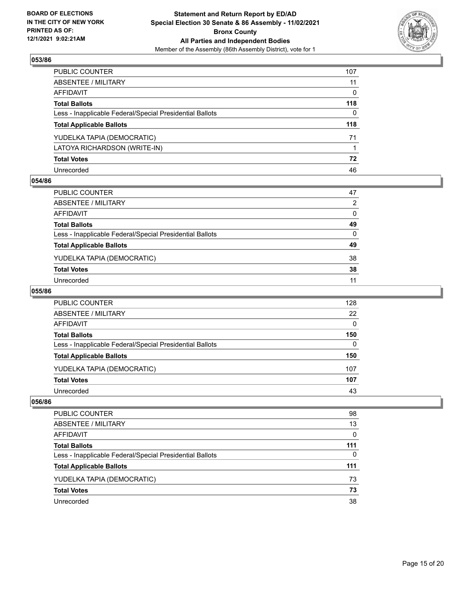

| PUBLIC COUNTER                                           | 107      |
|----------------------------------------------------------|----------|
| ABSENTEE / MILITARY                                      | 11       |
| AFFIDAVIT                                                | $\Omega$ |
| <b>Total Ballots</b>                                     | 118      |
| Less - Inapplicable Federal/Special Presidential Ballots | $\Omega$ |
| <b>Total Applicable Ballots</b>                          | 118      |
| YUDELKA TAPIA (DEMOCRATIC)                               | 71       |
| LATOYA RICHARDSON (WRITE-IN)                             |          |
| <b>Total Votes</b>                                       | 72       |
| Unrecorded                                               | 46       |

#### **054/86**

| PUBLIC COUNTER                                           | 47 |
|----------------------------------------------------------|----|
| ABSENTEE / MILITARY                                      | 2  |
| AFFIDAVIT                                                | 0  |
| <b>Total Ballots</b>                                     | 49 |
| Less - Inapplicable Federal/Special Presidential Ballots | 0  |
| <b>Total Applicable Ballots</b>                          | 49 |
| YUDELKA TAPIA (DEMOCRATIC)                               | 38 |
| <b>Total Votes</b>                                       | 38 |
| Unrecorded                                               | 11 |
|                                                          |    |

#### **055/86**

| PUBLIC COUNTER                                           | 128 |
|----------------------------------------------------------|-----|
| ABSENTEE / MILITARY                                      | 22  |
| AFFIDAVIT                                                | 0   |
| <b>Total Ballots</b>                                     | 150 |
| Less - Inapplicable Federal/Special Presidential Ballots | 0   |
| <b>Total Applicable Ballots</b>                          | 150 |
| YUDELKA TAPIA (DEMOCRATIC)                               | 107 |
| <b>Total Votes</b>                                       | 107 |
| Unrecorded                                               | 43  |

| <b>PUBLIC COUNTER</b>                                    | 98  |
|----------------------------------------------------------|-----|
| ABSENTEE / MILITARY                                      | 13  |
| AFFIDAVIT                                                | 0   |
| <b>Total Ballots</b>                                     | 111 |
| Less - Inapplicable Federal/Special Presidential Ballots | 0   |
| <b>Total Applicable Ballots</b>                          | 111 |
| YUDELKA TAPIA (DEMOCRATIC)                               | 73  |
| <b>Total Votes</b>                                       | 73  |
| Unrecorded                                               | 38  |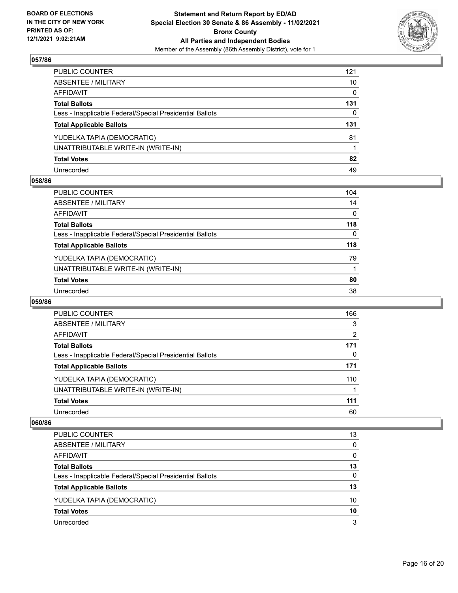

| PUBLIC COUNTER                                           | 121          |
|----------------------------------------------------------|--------------|
| ABSENTEE / MILITARY                                      | 10           |
| AFFIDAVIT                                                | $\mathbf{0}$ |
| <b>Total Ballots</b>                                     | 131          |
| Less - Inapplicable Federal/Special Presidential Ballots | 0            |
| <b>Total Applicable Ballots</b>                          | 131          |
| YUDELKA TAPIA (DEMOCRATIC)                               | 81           |
| UNATTRIBUTABLE WRITE-IN (WRITE-IN)                       |              |
| <b>Total Votes</b>                                       | 82           |
| Unrecorded                                               | 49           |

## **058/86**

| PUBLIC COUNTER                                           | 104          |
|----------------------------------------------------------|--------------|
| ABSENTEE / MILITARY                                      | 14           |
| AFFIDAVIT                                                | $\mathbf 0$  |
| Total Ballots                                            | 118          |
| Less - Inapplicable Federal/Special Presidential Ballots | $\mathbf{0}$ |
| <b>Total Applicable Ballots</b>                          | 118          |
| YUDELKA TAPIA (DEMOCRATIC)                               | 79           |
| UNATTRIBUTABLE WRITE-IN (WRITE-IN)                       |              |
| <b>Total Votes</b>                                       | 80           |
| Unrecorded                                               | 38           |

#### **059/86**

| PUBLIC COUNTER                                           | 166           |
|----------------------------------------------------------|---------------|
| ABSENTEE / MILITARY                                      | 3             |
| AFFIDAVIT                                                | $\mathcal{P}$ |
| <b>Total Ballots</b>                                     | 171           |
| Less - Inapplicable Federal/Special Presidential Ballots | 0             |
| <b>Total Applicable Ballots</b>                          | 171           |
| YUDELKA TAPIA (DEMOCRATIC)                               | 110           |
| UNATTRIBUTABLE WRITE-IN (WRITE-IN)                       |               |
| <b>Total Votes</b>                                       | 111           |
| Unrecorded                                               | 60            |

| PUBLIC COUNTER                                           | 13 |
|----------------------------------------------------------|----|
| ABSENTEE / MILITARY                                      | 0  |
| AFFIDAVIT                                                | 0  |
| <b>Total Ballots</b>                                     | 13 |
| Less - Inapplicable Federal/Special Presidential Ballots | 0  |
| <b>Total Applicable Ballots</b>                          | 13 |
| YUDELKA TAPIA (DEMOCRATIC)                               | 10 |
| <b>Total Votes</b>                                       | 10 |
| Unrecorded                                               | 3  |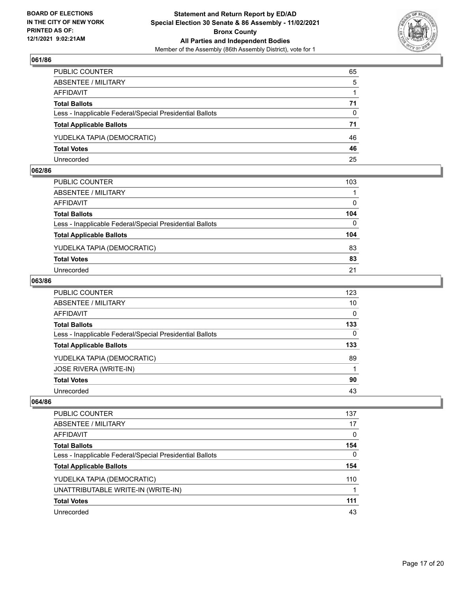

| PUBLIC COUNTER                                           | 65       |
|----------------------------------------------------------|----------|
| ABSENTEE / MILITARY                                      | 5        |
| AFFIDAVIT                                                |          |
| <b>Total Ballots</b>                                     | 71       |
| Less - Inapplicable Federal/Special Presidential Ballots | $\Omega$ |
| <b>Total Applicable Ballots</b>                          | 71       |
| YUDELKA TAPIA (DEMOCRATIC)                               | 46       |
| <b>Total Votes</b>                                       | 46       |
| Unrecorded                                               | 25       |

#### **062/86**

| PUBLIC COUNTER                                           | 103      |
|----------------------------------------------------------|----------|
| ABSENTEE / MILITARY                                      |          |
| AFFIDAVIT                                                | $\Omega$ |
| <b>Total Ballots</b>                                     | 104      |
| Less - Inapplicable Federal/Special Presidential Ballots | $\Omega$ |
| <b>Total Applicable Ballots</b>                          | 104      |
| YUDELKA TAPIA (DEMOCRATIC)                               | 83       |
| <b>Total Votes</b>                                       | 83       |
| Unrecorded                                               | 21       |
|                                                          |          |

## **063/86**

| PUBLIC COUNTER                                           | 123      |
|----------------------------------------------------------|----------|
| ABSENTEE / MILITARY                                      | 10       |
| AFFIDAVIT                                                | 0        |
| Total Ballots                                            | 133      |
| Less - Inapplicable Federal/Special Presidential Ballots | $\Omega$ |
| <b>Total Applicable Ballots</b>                          | 133      |
| YUDELKA TAPIA (DEMOCRATIC)                               | 89       |
| JOSE RIVERA (WRITE-IN)                                   |          |
| <b>Total Votes</b>                                       | 90       |
| Unrecorded                                               | 43       |

| PUBLIC COUNTER                                           | 137 |
|----------------------------------------------------------|-----|
| <b>ABSENTEE / MILITARY</b>                               | 17  |
| AFFIDAVIT                                                | 0   |
| <b>Total Ballots</b>                                     | 154 |
| Less - Inapplicable Federal/Special Presidential Ballots | 0   |
| <b>Total Applicable Ballots</b>                          | 154 |
| YUDELKA TAPIA (DEMOCRATIC)                               | 110 |
| UNATTRIBUTABLE WRITE-IN (WRITE-IN)                       |     |
| <b>Total Votes</b>                                       | 111 |
| Unrecorded                                               | 43  |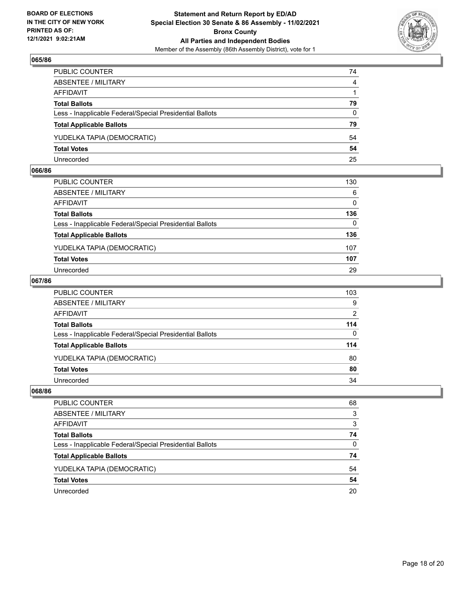

| PUBLIC COUNTER                                           | 74             |
|----------------------------------------------------------|----------------|
| ABSENTEE / MILITARY                                      | $\overline{4}$ |
| AFFIDAVIT                                                |                |
| <b>Total Ballots</b>                                     | 79             |
| Less - Inapplicable Federal/Special Presidential Ballots | $\Omega$       |
| <b>Total Applicable Ballots</b>                          | 79             |
| YUDELKA TAPIA (DEMOCRATIC)                               | 54             |
| <b>Total Votes</b>                                       | 54             |
| Unrecorded                                               | 25             |

#### **066/86**

| PUBLIC COUNTER                                           | 130          |
|----------------------------------------------------------|--------------|
| ABSENTEE / MILITARY                                      | 6            |
| AFFIDAVIT                                                | 0            |
| <b>Total Ballots</b>                                     | 136          |
| Less - Inapplicable Federal/Special Presidential Ballots | $\mathbf{0}$ |
| <b>Total Applicable Ballots</b>                          | 136          |
| YUDELKA TAPIA (DEMOCRATIC)                               | 107          |
| <b>Total Votes</b>                                       | 107          |
| Unrecorded                                               | 29           |
|                                                          |              |

## **067/86**

| PUBLIC COUNTER                                           | 103      |
|----------------------------------------------------------|----------|
| ABSENTEE / MILITARY                                      | 9        |
| AFFIDAVIT                                                | 2        |
| <b>Total Ballots</b>                                     | 114      |
| Less - Inapplicable Federal/Special Presidential Ballots | $\Omega$ |
| <b>Total Applicable Ballots</b>                          | 114      |
| YUDELKA TAPIA (DEMOCRATIC)                               | 80       |
| <b>Total Votes</b>                                       | 80       |
| Unrecorded                                               | 34       |

| PUBLIC COUNTER                                           | 68 |
|----------------------------------------------------------|----|
| ABSENTEE / MILITARY                                      | 3  |
| AFFIDAVIT                                                | 3  |
| <b>Total Ballots</b>                                     | 74 |
| Less - Inapplicable Federal/Special Presidential Ballots | 0  |
| <b>Total Applicable Ballots</b>                          | 74 |
| YUDELKA TAPIA (DEMOCRATIC)                               | 54 |
| <b>Total Votes</b>                                       | 54 |
| Unrecorded                                               | 20 |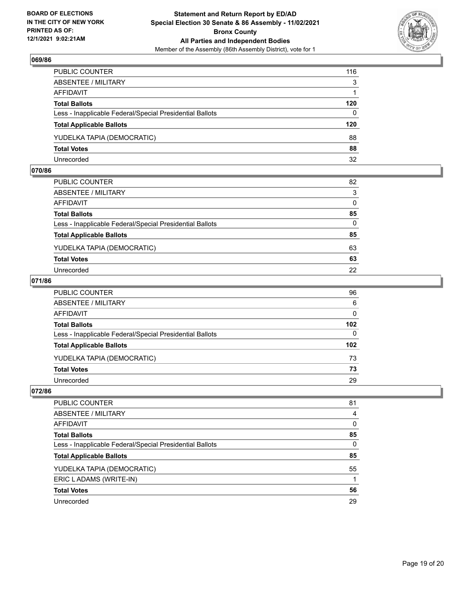

| PUBLIC COUNTER                                           | 116      |
|----------------------------------------------------------|----------|
| ABSENTEE / MILITARY                                      | 3        |
| AFFIDAVIT                                                |          |
| <b>Total Ballots</b>                                     | 120      |
| Less - Inapplicable Federal/Special Presidential Ballots | $\Omega$ |
| <b>Total Applicable Ballots</b>                          | 120      |
| YUDELKA TAPIA (DEMOCRATIC)                               | 88       |
| <b>Total Votes</b>                                       | 88       |
| Unrecorded                                               | 32       |

#### **070/86**

| PUBLIC COUNTER                                           | 82           |
|----------------------------------------------------------|--------------|
| ABSENTEE / MILITARY                                      | 3            |
| AFFIDAVIT                                                | $\mathbf{0}$ |
| <b>Total Ballots</b>                                     | 85           |
| Less - Inapplicable Federal/Special Presidential Ballots | $\Omega$     |
| <b>Total Applicable Ballots</b>                          | 85           |
| YUDELKA TAPIA (DEMOCRATIC)                               | 63           |
| <b>Total Votes</b>                                       | 63           |
| Unrecorded                                               | 22           |
|                                                          |              |

## **071/86**

| PUBLIC COUNTER                                           | 96               |
|----------------------------------------------------------|------------------|
| ABSENTEE / MILITARY                                      | 6                |
| AFFIDAVIT                                                | $\mathbf{0}$     |
| <b>Total Ballots</b>                                     | 102 <sub>2</sub> |
| Less - Inapplicable Federal/Special Presidential Ballots | $\Omega$         |
| <b>Total Applicable Ballots</b>                          | 102 <sub>2</sub> |
| YUDELKA TAPIA (DEMOCRATIC)                               | 73               |
| <b>Total Votes</b>                                       | 73               |
| Unrecorded                                               | 29               |
|                                                          |                  |

| PUBLIC COUNTER                                           | 81       |
|----------------------------------------------------------|----------|
| ABSENTEE / MILITARY                                      | 4        |
| AFFIDAVIT                                                | $\Omega$ |
| <b>Total Ballots</b>                                     | 85       |
| Less - Inapplicable Federal/Special Presidential Ballots | 0        |
| <b>Total Applicable Ballots</b>                          | 85       |
| YUDELKA TAPIA (DEMOCRATIC)                               | 55       |
| ERIC LADAMS (WRITE-IN)                                   |          |
| <b>Total Votes</b>                                       | 56       |
| Unrecorded                                               | 29       |